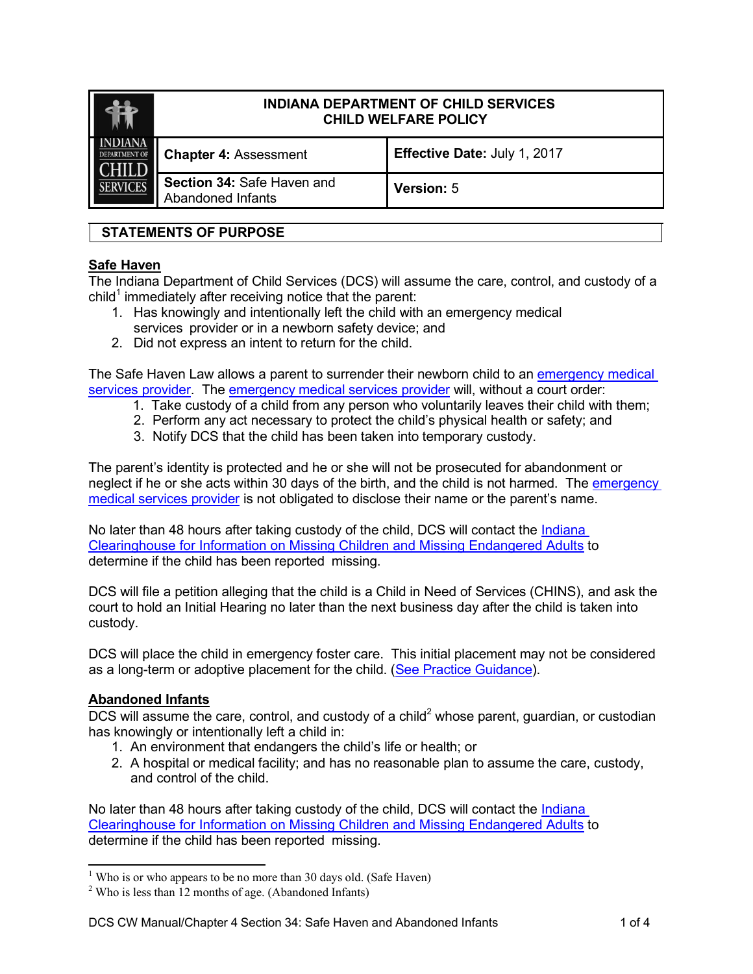|                                        | INDIANA DEPARTMENT OF CHILD SERVICES<br><b>CHILD WELFARE POLICY</b> |                              |
|----------------------------------------|---------------------------------------------------------------------|------------------------------|
| <b>INDIANA</b><br><b>DEPARTMENT OF</b> | <b>Chapter 4: Assessment</b>                                        | Effective Date: July 1, 2017 |
|                                        | Section 34: Safe Haven and<br>Abandoned Infants                     | <b>Version: 5</b>            |

# **STATEMENTS OF PURPOSE**

## **Safe Haven**

The Indiana Department of Child Services (DCS) will assume the care, control, and custody of a child<sup>1</sup> immediately after receiving notice that the parent:

- 1. Has knowingly and intentionally left the child with an emergency medical services provider or in a newborn safety device; and
- 2. Did not express an intent to return for the child.

The Safe Haven Law allows a parent to surrender their newborn child to an [emergency medical](#page-2-0)  [services provider.](#page-2-0) The emergency [medical services](#page-2-0) provider will, without a court order:

- 1. Take custody of a child from any person who voluntarily leaves their child with them;
- 2. Perform any act necessary to protect the child's physical health or safety; and
- 3. Notify DCS that the child has been taken into temporary custody.

The parent's identity is protected and he or she will not be prosecuted for abandonment or neglect if he or she acts within 30 days of the birth, and the child is not harmed. The [emergency](#page-2-0) [medical services](#page-2-0) provider is not obligated to disclose their name or the parent's name.

No later than 48 hours after taking custody of the child, DCS will contact the [Indiana](#page-3-0)  [Clearinghouse for Information on Missing Children and Missing Endangered Adults](#page-3-0) to determine if the child has been reported missing.

DCS will file a petition alleging that the child is a Child in Need of Services (CHINS), and ask the court to hold an Initial Hearing no later than the next business day after the child is taken into custody.

DCS will place the child in emergency foster care. This initial placement may not be considered as a long-term or adoptive placement for the child. [\(See Practice Guidance\)](#page-2-1).

# **Abandoned Infants**

DCS will assume the care, control, and custody of a child<sup>2</sup> whose parent, guardian, or custodian has knowingly or intentionally left a child in:

- 1. An environment that endangers the child's life or health; or
- 2. A hospital or medical facility; and has no reasonable plan to assume the care, custody, and control of the child.

No later than 48 hours after taking custody of the child, DCS will contact the [Indiana](#page-3-0)  [Clearinghouse for Information on Missing Children and Missing Endangered Adults](#page-3-0) to determine if the child has been reported missing.

<sup>&</sup>lt;sup>1</sup> Who is or who appears to be no more than 30 days old. (Safe Haven)

 $2$  Who is less than 12 months of age. (Abandoned Infants)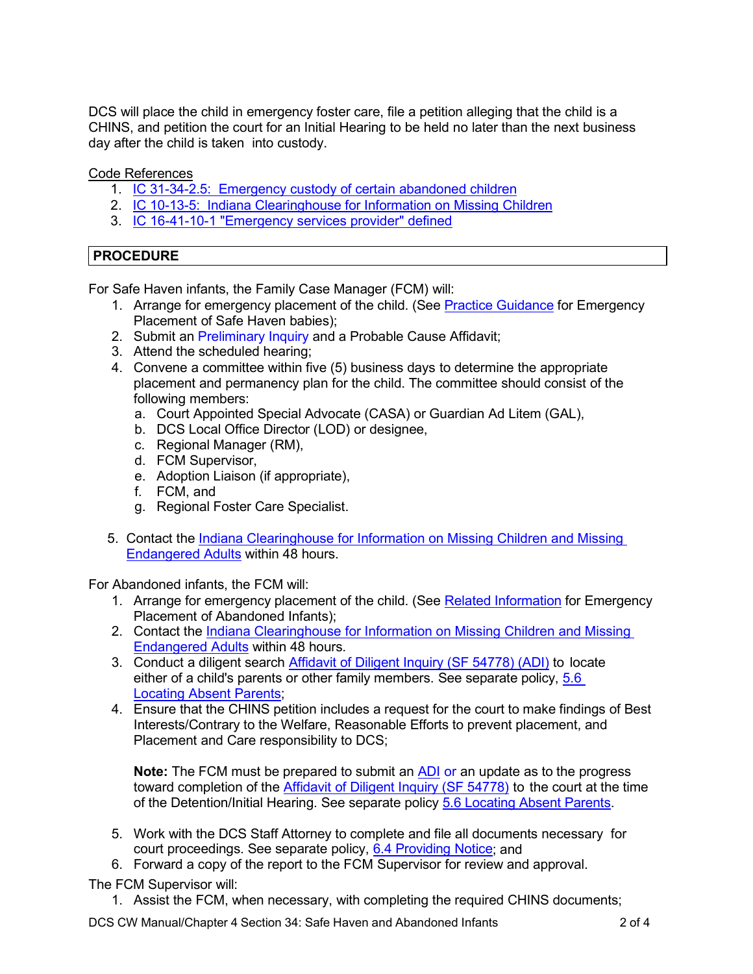DCS will place the child in emergency foster care, file a petition alleging that the child is a CHINS, and petition the court for an Initial Hearing to be held no later than the next business day after the child is taken into custody.

Code References

- 1. IC [31-34-2.5: Emergency](http://iga.in.gov/legislative/laws/2021/ic/titles/031/#31-34-2.5) custody of certain abandoned children
- 2. IC 10-13-5: Indiana [Clearinghouse](http://iga.in.gov/legislative/laws/2021/ic/titles/010/#10-13-5) for Information on Missing Children
- 3. [IC 16-41-10-1 "Emergency services provider" defined](http://iga.in.gov/legislative/laws/2021/ic/titles/016/#16-41-10-1)

## **PROCEDURE**

For Safe Haven infants, the Family Case Manager (FCM) will:

- 1. Arrange for emergency placement of the child. (See [Practice Guidance](#page-2-1) for Emergency Placement of Safe Haven babies);
- 2. Submit an Preliminary Inquiry and a Probable Cause Affidavit;
- 3. Attend the scheduled hearing;
- 4. Convene a committee within five (5) business days to determine the appropriate placement and permanency plan for the child. The committee should consist of the following members:
	- a. Court Appointed Special Advocate (CASA) or Guardian Ad Litem (GAL),
	- b. DCS Local Office Director (LOD) or designee,
	- c. Regional Manager (RM),
	- d. FCM Supervisor,
	- e. Adoption Liaison (if appropriate),
	- f. FCM, and
	- g. Regional Foster Care Specialist.
- 5. Contact the [Indiana Clearinghouse for Information on Missing Children and Missing](#page-3-0)  [Endangered Adults](#page-3-0) within 48 hours.

For Abandoned infants, the FCM will:

- 1. Arrange for emergency placement of the child. (See Related [Information](#page-2-2) for Emergency Placement of Abandoned Infants);
- 2. Contact the [Indiana Clearinghouse for Information on Missing Children and Missing](#page-3-0)  [Endangered Adults](#page-3-0) within 48 hours.
- 3. Conduct a diligent search [Affidavit of Diligent Inquiry \(SF 54778\) \(ADI\)](https://forms.in.gov/Download.aspx?id=10402) to locate either of a child's parents or other family members. See separate policy, [5.6](https://www.in.gov/dcs/files/5.06-Locating-Absent-Parents.pdf) [Locating Absent Parents;](https://www.in.gov/dcs/files/5.06-Locating-Absent-Parents.pdf)
- 4. Ensure that the CHINS petition includes a request for the court to make findings of Best Interests/Contrary to the Welfare, Reasonable Efforts to prevent placement, and Placement and Care responsibility to DCS;

**Note:** The FCM must be prepared to submit an [ADI](https://forms.in.gov/Download.aspx?id=10402) or an update as to the progress toward completion of the Affidavit of [Diligent Inquiry](https://forms.in.gov/Download.aspx?id=10402) (SF 54778) to the court at the time of the Detention/Initial Hearing. See separate policy [5.6 Locating Absent Parents.](https://www.in.gov/dcs/files/5.06-Locating-Absent-Parents.pdf)

- 5. Work with the DCS Staff Attorney to complete and file all documents necessary for court proceedings. See separate policy, 6.4 [Providing](https://www.in.gov/dcs/files/6.04.pdf) Notice; and
- 6. Forward a copy of the report to the FCM Supervisor for review and approval. The FCM Supervisor will:
	- 1. Assist the FCM, when necessary, with completing the required CHINS documents;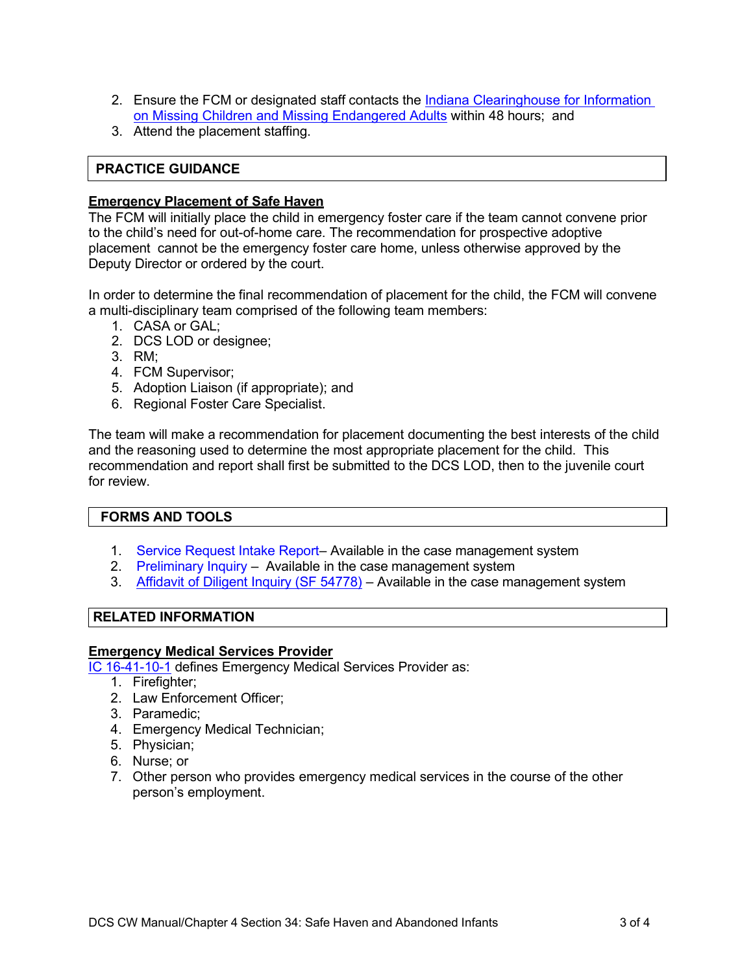- 2. Ensure the FCM or designated staff contacts the [Indiana Clearinghouse for Information](#page-3-0)  [on Missing Children and Missing Endangered Adults](#page-3-0) within 48 hours; and
- 3. Attend the placement staffing.

### <span id="page-2-1"></span>**PRACTICE GUIDANCE**

### **Emergency Placement of Safe Haven**

The FCM will initially place the child in emergency foster care if the team cannot convene prior to the child's need for out-of-home care. The recommendation for prospective adoptive placement cannot be the emergency foster care home, unless otherwise approved by the Deputy Director or ordered by the court.

In order to determine the final recommendation of placement for the child, the FCM will convene a multi-disciplinary team comprised of the following team members:

- 1. CASA or GAL;
- 2. DCS LOD or designee;
- 3. RM;
- 4. FCM Supervisor;
- 5. Adoption Liaison (if appropriate); and
- 6. Regional Foster Care Specialist.

The team will make a recommendation for placement documenting the best interests of the child and the reasoning used to determine the most appropriate placement for the child. This recommendation and report shall first be submitted to the DCS LOD, then to the juvenile court for review.

## **FORMS AND TOOLS**

- 1. Service Request Intake Report– Available in the case management system
- 2. Preliminary Inquiry Available in the case management system
- 3. Affidavit of [Diligent Inquiry](https://forms.in.gov/Download.aspx?id=10402) (SF 54778) Available in the case management system

### <span id="page-2-2"></span>**RELATED INFORMATION**

### <span id="page-2-0"></span>**Emergency Medical Services Provider**

[IC 16-41-10-1](http://iga.in.gov/legislative/laws/2021/ic/titles/016/#16-41-10-1) defines Emergency Medical Services Provider as:

- 1. Firefighter;
	- 2. Law Enforcement Officer;
	- 3. Paramedic;
	- 4. Emergency Medical Technician;
	- 5. Physician;
	- 6. Nurse; or
	- 7. Other person who provides emergency medical services in the course of the other person's employment.